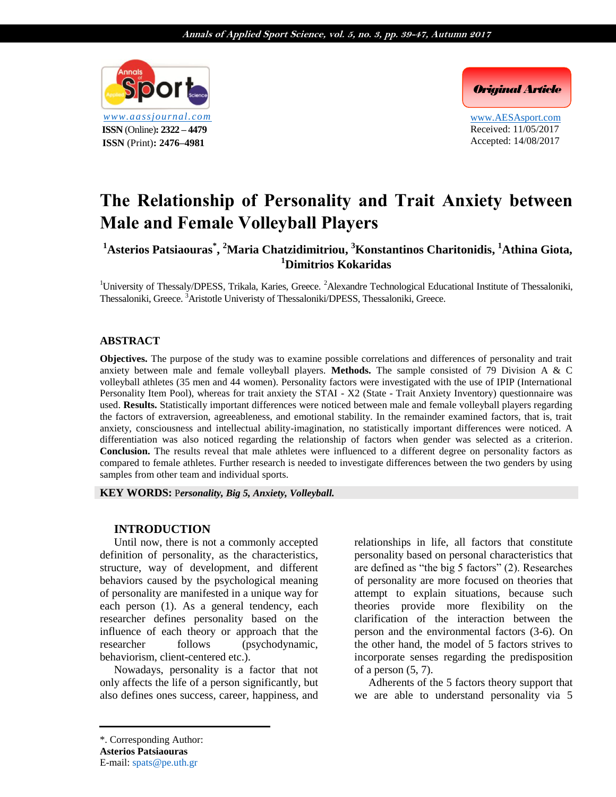

*Original Article*

www.AESAsport.com Received: 11/05/2017 Accepted: 14/08/2017

# **The Relationship of Personality and Trait Anxiety between Male and Female Volleyball Players**

**<sup>1</sup>Asterios Patsiaouras\* , <sup>2</sup>Maria Chatzidimitriou, <sup>3</sup>Konstantinos Charitonidis, <sup>1</sup>Athina Giota, <sup>1</sup>[Dimitrios Kokaridas](http://aassjournal.com/search.php?slc_lang=en&sid=1&auth=Kokaridas)**

<sup>1</sup>University of Thessaly/DPESS, Trikala, Karies, Greece. <sup>2</sup>Alexandre Technological Educational Institute of Thessaloniki, Thessaloniki, Greece. <sup>3</sup>Aristotle Univeristy of Thessaloniki/DPESS, Thessaloniki, Greece.

## **ABSTRACT**

**Objectives.** The purpose of the study was to examine possible correlations and differences of personality and trait anxiety between male and female volleyball players. **Methods.** The sample consisted of 79 Division A & C volleyball athletes (35 men and 44 women). Personality factors were investigated with the use of IPIP (International Personality Item Pool), whereas for trait anxiety the STAI - X2 (State - Trait Anxiety Inventory) questionnaire was used. **Results.** Statistically important differences were noticed between male and female volleyball players regarding the factors of extraversion, agreeableness, and emotional stability. In the remainder examined factors, that is, trait anxiety, consciousness and intellectual ability-imagination, no statistically important differences were noticed. A differentiation was also noticed regarding the relationship of factors when gender was selected as a criterion. **Conclusion.** The results reveal that male athletes were influenced to a different degree on personality factors as compared to female athletes. Further research is needed to investigate differences between the two genders by using samples from other team and individual sports.

**KEY WORDS:** P*ersonality, Big 5, Anxiety, Volleyball.*

#### **INTRODUCTION**

Until now, there is not a commonly accepted definition of personality, as the characteristics, structure, way of development, and different behaviors caused by the psychological meaning of personality are manifested in a unique way for each person (1). As a general tendency, each researcher defines personality based on the influence of each theory or approach that the researcher follows (psychodynamic, behaviorism, client-centered etc.).

Nowadays, personality is a factor that not only affects the life of a person significantly, but also defines ones success, career, happiness, and relationships in life, all factors that constitute personality based on personal characteristics that are defined as "the big 5 factors" (2). Researches of personality are more focused on theories that attempt to explain situations, because such theories provide more flexibility on the clarification of the interaction between the person and the environmental factors (3-6). On the other hand, the model of 5 factors strives to incorporate senses regarding the predisposition of a person (5, 7).

Adherents of the 5 factors theory support that we are able to understand personality via 5

<sup>\*.</sup> Corresponding Author: **Asterios Patsiaouras** E-mail: spats@pe.uth.gr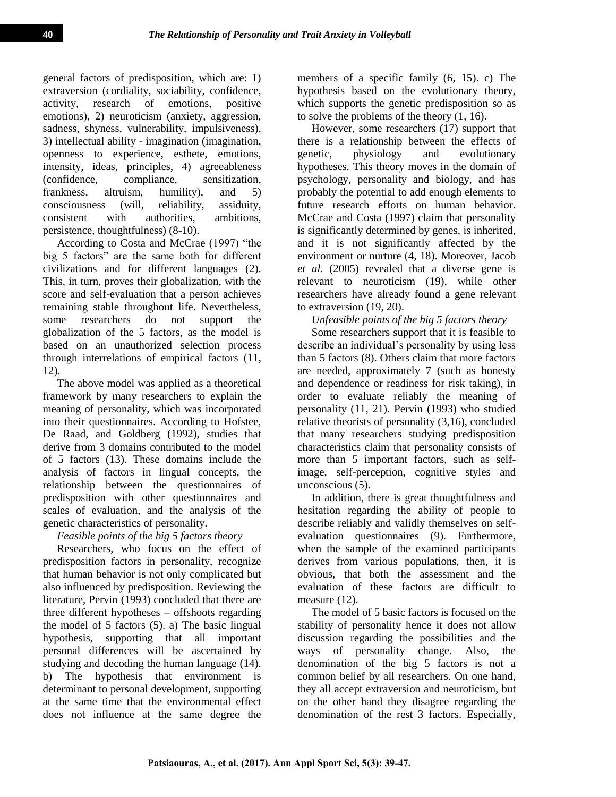general factors of predisposition, which are: 1) extraversion (cordiality, sociability, confidence, activity, research of emotions, positive emotions), 2) neuroticism (anxiety, aggression, sadness, shyness, vulnerability, impulsiveness), 3) intellectual ability - imagination (imagination, openness to experience, esthete, emotions, intensity, ideas, principles, 4) agreeableness (confidence, compliance, sensitization, frankness, altruism, humility), and 5) consciousness (will, reliability, assiduity, consistent with authorities, ambitions, persistence, thoughtfulness) (8-10).

According to Costa and McCrae (1997) "the big 5 factors" are the same both for different civilizations and for different languages (2). This, in turn, proves their globalization, with the score and self-evaluation that a person achieves remaining stable throughout life. Nevertheless, some researchers do not support the globalization of the 5 factors, as the model is based on an unauthorized selection process through interrelations of empirical factors (11, 12).

The above model was applied as a theoretical framework by many researchers to explain the meaning of personality, which was incorporated into their questionnaires. According to Hofstee, De Raad, and Goldberg (1992), studies that derive from 3 domains contributed to the model of 5 factors (13). These domains include the analysis of factors in lingual concepts, the relationship between the questionnaires of predisposition with other questionnaires and scales of evaluation, and the analysis of the genetic characteristics of personality.

# *Feasible points of the big 5 factors theory*

Researchers, who focus on the effect of predisposition factors in personality, recognize that human behavior is not only complicated but also influenced by predisposition. Reviewing the literature, Pervin (1993) concluded that there are three different hypotheses – offshoots regarding the model of 5 factors (5). a) The basic lingual hypothesis, supporting that all important personal differences will be ascertained by studying and decoding the human language (14). b) The hypothesis that environment is determinant to personal development, supporting at the same time that the environmental effect does not influence at the same degree the

members of a specific family (6, 15). c) The hypothesis based on the evolutionary theory, which supports the genetic predisposition so as to solve the problems of the theory (1, 16).

However, some researchers (17) support that there is a relationship between the effects of genetic, physiology and evolutionary hypotheses. This theory moves in the domain of psychology, personality and biology, and has probably the potential to add enough elements to future research efforts on human behavior. McCrae and Costa (1997) claim that personality is significantly determined by genes, is inherited, and it is not significantly affected by the environment or nurture (4, 18). Moreover, Jacob *et al.* (2005) revealed that a diverse gene is relevant to neuroticism (19), while other researchers have already found a gene relevant to extraversion (19, 20).

*Unfeasible points of the big 5 factors theory* 

Some researchers support that it is feasible to describe an individual's personality by using less than 5 factors (8). Others claim that more factors are needed, approximately 7 (such as honesty and dependence or readiness for risk taking), in order to evaluate reliably the meaning of personality (11, 21). Pervin (1993) who studied relative theorists of personality (3,16), concluded that many researchers studying predisposition characteristics claim that personality consists of more than 5 important factors, such as selfimage, self-perception, cognitive styles and unconscious (5).

In addition, there is great thoughtfulness and hesitation regarding the ability of people to describe reliably and validly themselves on selfevaluation questionnaires (9). Furthermore, when the sample of the examined participants derives from various populations, then, it is obvious, that both the assessment and the evaluation of these factors are difficult to measure (12).

The model of 5 basic factors is focused on the stability of personality hence it does not allow discussion regarding the possibilities and the ways of personality change. Also, the denomination of the big 5 factors is not a common belief by all researchers. On one hand, they all accept extraversion and neuroticism, but on the other hand they disagree regarding the denomination of the rest 3 factors. Especially,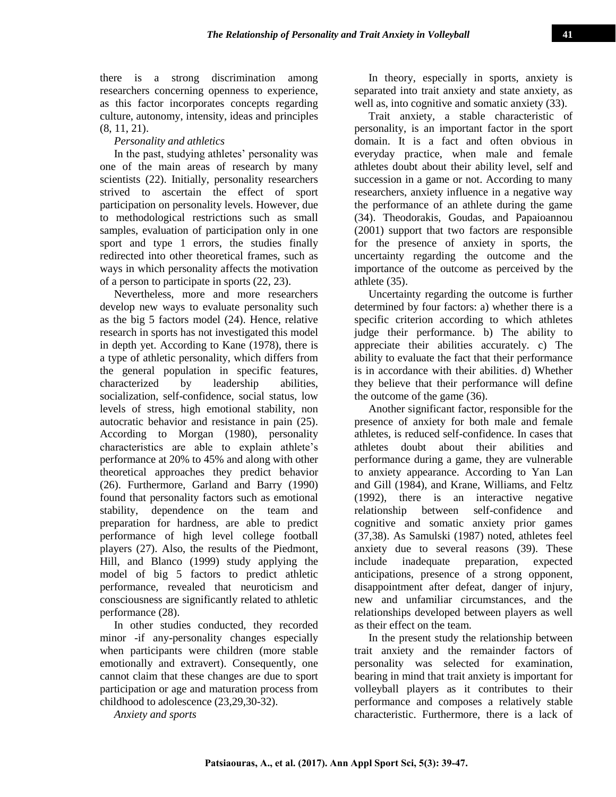# *Personality and athletics*

In the past, studying athletes' personality was one of the main areas of research by many scientists (22). Initially, personality researchers strived to ascertain the effect of sport participation on personality levels. However, due to methodological restrictions such as small samples, evaluation of participation only in one sport and type 1 errors, the studies finally redirected into other theoretical frames, such as ways in which personality affects the motivation of a person to participate in sports (22, 23).

Nevertheless, more and more researchers develop new ways to evaluate personality such as the big 5 factors model (24). Hence, relative research in sports has not investigated this model in depth yet. According to Kane (1978), there is a type of athletic personality, which differs from the general population in specific features, characterized by leadership abilities, socialization, self-confidence, social status, low levels of stress, high emotional stability, non autocratic behavior and resistance in pain (25). According to Morgan (1980), personality characteristics are able to explain athlete's performance at 20% to 45% and along with other theoretical approaches they predict behavior (26). Furthermore, Garland and Barry (1990) found that personality factors such as emotional stability, dependence on the team and preparation for hardness, are able to predict performance of high level college football players (27). Also, the results of the Piedmont, Hill, and Blanco (1999) study applying the model of big 5 factors to predict athletic performance, revealed that neuroticism and consciousness are significantly related to athletic performance (28).

In other studies conducted, they recorded minor -if any-personality changes especially when participants were children (more stable emotionally and extravert). Consequently, one cannot claim that these changes are due to sport participation or age and maturation process from childhood to adolescence (23,29,30-32).

*Anxiety and sports*

In theory, especially in sports, anxiety is separated into trait anxiety and state anxiety, as well as, into cognitive and somatic anxiety (33).

Trait anxiety, a stable characteristic of personality, is an important factor in the sport domain. It is a fact and often obvious in everyday practice, when male and female athletes doubt about their ability level, self and succession in a game or not. According to many researchers, anxiety influence in a negative way the performance of an athlete during the game (34). Theodorakis, Goudas, and Papaioannou (2001) support that two factors are responsible for the presence of anxiety in sports, the uncertainty regarding the outcome and the importance of the outcome as perceived by the athlete (35).

Uncertainty regarding the outcome is further determined by four factors: a) whether there is a specific criterion according to which athletes judge their performance. b) The ability to appreciate their abilities accurately. c) The ability to evaluate the fact that their performance is in accordance with their abilities. d) Whether they believe that their performance will define the outcome of the game (36).

Another significant factor, responsible for the presence of anxiety for both male and female athletes, is reduced self-confidence. In cases that athletes doubt about their abilities and performance during a game, they are vulnerable to anxiety appearance. According to Yan Lan and Gill (1984), and Krane, Williams, and Feltz (1992), there is an interactive negative relationship between self-confidence and cognitive and somatic anxiety prior games (37,38). As Samulski (1987) noted, athletes feel anxiety due to several reasons (39). These include inadequate preparation, expected anticipations, presence of a strong opponent, disappointment after defeat, danger of injury, new and unfamiliar circumstances, and the relationships developed between players as well as their effect on the team.

In the present study the relationship between trait anxiety and the remainder factors of personality was selected for examination, bearing in mind that trait anxiety is important for volleyball players as it contributes to their performance and composes a relatively stable characteristic. Furthermore, there is a lack of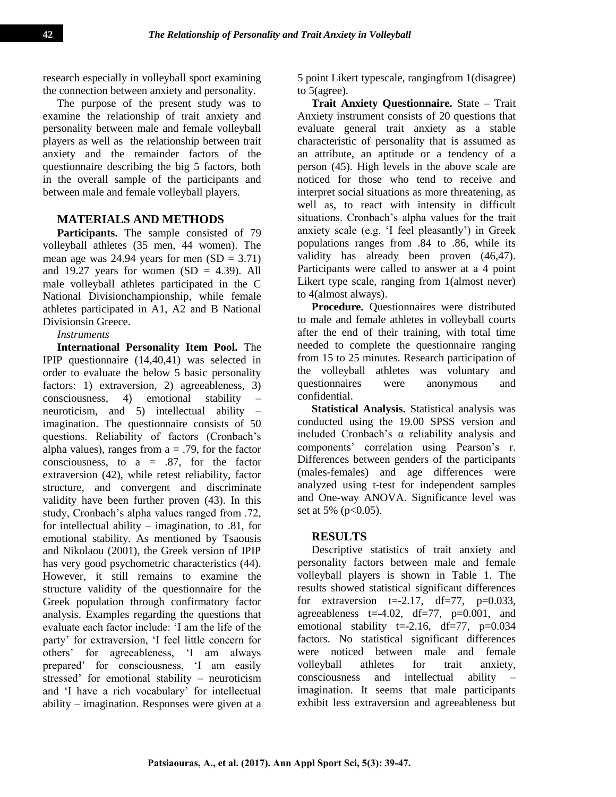research especially in volleyball sport examining the connection between anxiety and personality.

The purpose of the present study was to examine the relationship of trait anxiety and personality between male and female volleyball players as well as the relationship between trait anxiety and the remainder factors of the questionnaire describing the big 5 factors, both in the overall sample of the participants and between male and female volleyball players.

## **MATERIALS AND METHODS**

Participants. The sample consisted of 79 volleyball athletes (35 men, 44 women). The mean age was 24.94 years for men  $(SD = 3.71)$ and 19.27 years for women  $(SD = 4.39)$ . All male volleyball athletes participated in the C National Divisionchampionship, while female athletes participated in A1, A2 and B National Divisionsin Greece.

#### *Instruments*

**International Personality Item Pool.** The IPIP questionnaire (14,40,41) was selected in order to evaluate the below 5 basic personality factors: 1) extraversion, 2) agreeableness, 3) consciousness, 4) emotional stability – neuroticism, and 5) intellectual ability – imagination. The questionnaire consists of 50 questions. Reliability of factors (Cronbach's alpha values), ranges from  $a = .79$ , for the factor consciousness, to  $a = .87$ , for the factor extraversion (42), while retest reliability, factor structure, and convergent and discriminate validity have been further proven (43). In this study, Cronbach's alpha values ranged from .72, for intellectual ability – imagination, to .81, for emotional stability. As mentioned by Tsaousis and Nikolaou (2001), the Greek version of IPIP has very good psychometric characteristics (44). However, it still remains to examine the structure validity of the questionnaire for the Greek population through confirmatory factor analysis. Examples regarding the questions that evaluate each factor include: 'I am the life of the party' for extraversion, 'I feel little concern for others' for agreeableness, 'I am always prepared' for consciousness, 'I am easily stressed' for emotional stability – neuroticism and 'I have a rich vocabulary' for intellectual ability – imagination. Responses were given at a 5 point Likert typescale, rangingfrom 1(disagree) to 5(agree).

**Trait Anxiety Questionnaire.** State – Trait Anxiety instrument consists of 20 questions that evaluate general trait anxiety as a stable characteristic of personality that is assumed as an attribute, an aptitude or a tendency of a person (45). High levels in the above scale are noticed for those who tend to receive and interpret social situations as more threatening, as well as, to react with intensity in difficult situations. Cronbach's alpha values for the trait anxiety scale (e.g. 'I feel pleasantly') in Greek populations ranges from .84 to .86, while its validity has already been proven (46,47). Participants were called to answer at a 4 point Likert type scale, ranging from 1(almost never) to 4(almost always).

**Procedure.** Ouestionnaires were distributed to male and female athletes in volleyball courts after the end of their training, with total time needed to complete the questionnaire ranging from 15 to 25 minutes. Research participation of the volleyball athletes was voluntary and questionnaires were anonymous and confidential.

**Statistical Analysis.** Statistical analysis was conducted using the 19.00 SPSS version and included Cronbach's α reliability analysis and components' correlation using Pearson's r. Differences between genders of the participants (males-females) and age differences were analyzed using t-test for independent samples and One-way ANOVA. Significance level was set at 5% ( $p<0.05$ ).

## **RESULTS**

Descriptive statistics of trait anxiety and personality factors between male and female volleyball players is shown in Table 1. The results showed statistical significant differences for extraversion  $t=-2.17$ ,  $df=77$ ,  $p=0.033$ , agreeableness  $t=4.02$ ,  $df=77$ ,  $p=0.001$ , and emotional stability t=-2.16,  $df=77$ , p=0.034 factors. No statistical significant differences were noticed between male and female volleyball athletes for trait anxiety, consciousness and intellectual ability – imagination. It seems that male participants exhibit less extraversion and agreeableness but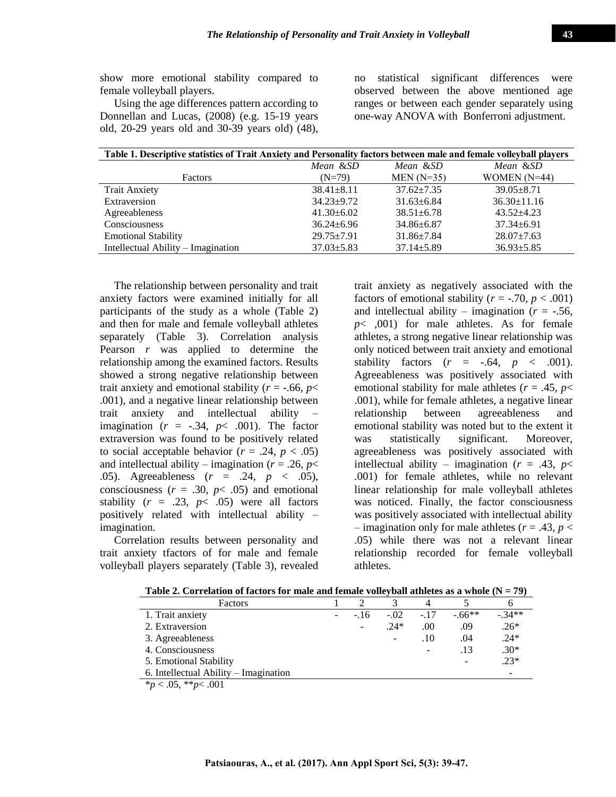show more emotional stability compared to female volleyball players.

Using the age differences pattern according to Donnellan and Lucas, (2008) (e.g. 15-19 years old, 20-29 years old and 30-39 years old) (48), no statistical significant differences were observed between the above mentioned age ranges or between each gender separately using one-way ANOVA with Bonferroni adjustment.

| Table 1. Descriptive statistics of Trait Anxiety and Personality factors between male and female volleyball players |                  |                  |                   |  |  |  |  |  |
|---------------------------------------------------------------------------------------------------------------------|------------------|------------------|-------------------|--|--|--|--|--|
|                                                                                                                     | Mean &SD         | Mean &SD         | Mean &SD          |  |  |  |  |  |
| Factors                                                                                                             | $(N=79)$         | $MEN(N=35)$      | WOMEN $(N=44)$    |  |  |  |  |  |
| <b>Trait Anxiety</b>                                                                                                | $38.41 \pm 8.11$ | $37.62 + 7.35$   | $39.05 + 8.71$    |  |  |  |  |  |
| Extraversion                                                                                                        | $34.23 \pm 9.72$ | $31.63 \pm 6.84$ | $36.30 \pm 11.16$ |  |  |  |  |  |
| Agreeableness                                                                                                       | $41.30 \pm 6.02$ | $38.51 \pm 6.78$ | $43.52 + 4.23$    |  |  |  |  |  |
| Consciousness                                                                                                       | $36.24 \pm 6.96$ | $34.86 \pm 6.87$ | $37.34 \pm 6.91$  |  |  |  |  |  |
| <b>Emotional Stability</b>                                                                                          | $29.75 \pm 7.91$ | $31.86 \pm 7.84$ | $28.07 \pm 7.63$  |  |  |  |  |  |
| Intellectual Ability – Imagination                                                                                  | $37.03 \pm 5.83$ | $37.14 \pm 5.89$ | $36.93 \pm 5.85$  |  |  |  |  |  |

The relationship between personality and trait anxiety factors were examined initially for all participants of the study as a whole (Table 2) and then for male and female volleyball athletes separately (Table 3). Correlation analysis Pearson *r* was applied to determine the relationship among the examined factors. Results showed a strong negative relationship between trait anxiety and emotional stability ( $r = -0.66$ ,  $p <$ .001), and a negative linear relationship between trait anxiety and intellectual ability – imagination  $(r = -.34, p < .001)$ . The factor extraversion was found to be positively related to social acceptable behavior ( $r = .24$ ,  $p < .05$ ) and intellectual ability – imagination ( $r = .26$ ,  $p <$ .05). Agreeableness (*r* = .24, *p* < .05), consciousness  $(r = .30, p < .05)$  and emotional stability  $(r = .23, p < .05)$  were all factors positively related with intellectual ability – imagination.

Correlation results between personality and trait anxiety tfactors of for male and female volleyball players separately (Table 3), revealed trait anxiety as negatively associated with the factors of emotional stability ( $r = -.70, p < .001$ ) and intellectual ability – imagination ( $r = -.56$ , *p*< ,001) for male athletes. As for female athletes, a strong negative linear relationship was only noticed between trait anxiety and emotional stability factors  $(r = -.64, p < .001)$ . Agreeableness was positively associated with emotional stability for male athletes ( $r = .45$ ,  $p <$ .001), while for female athletes, a negative linear relationship between agreeableness and emotional stability was noted but to the extent it was statistically significant. Moreover, agreeableness was positively associated with intellectual ability – imagination ( $r = .43$ ,  $p <$ .001) for female athletes, while no relevant linear relationship for male volleyball athletes was noticed. Finally, the factor consciousness was positively associated with intellectual ability  $-$  imagination only for male athletes ( $r = .43$ ,  $p <$ .05) while there was not a relevant linear relationship recorded for female volleyball athletes.

| Factors                               |                          |                   |        |         | n       |
|---------------------------------------|--------------------------|-------------------|--------|---------|---------|
| 1. Trait anxiety                      | $-.16$                   | $-.02$            | $-.17$ | $-66**$ | $-34**$ |
| 2. Extraversion                       | $\overline{\phantom{a}}$ | $.24*$            | .00    | .09     | $.26*$  |
| 3. Agreeableness                      |                          | $\qquad \qquad -$ | .10    | .04     | $.24*$  |
| 4. Consciousness                      |                          |                   |        | .13     | $.30*$  |
| 5. Emotional Stability                |                          |                   |        |         | $.23*$  |
| 6. Intellectual Ability – Imagination |                          |                   |        |         |         |
| $*_{p}$ < .05, $*_{p}$ < .001         |                          |                   |        |         |         |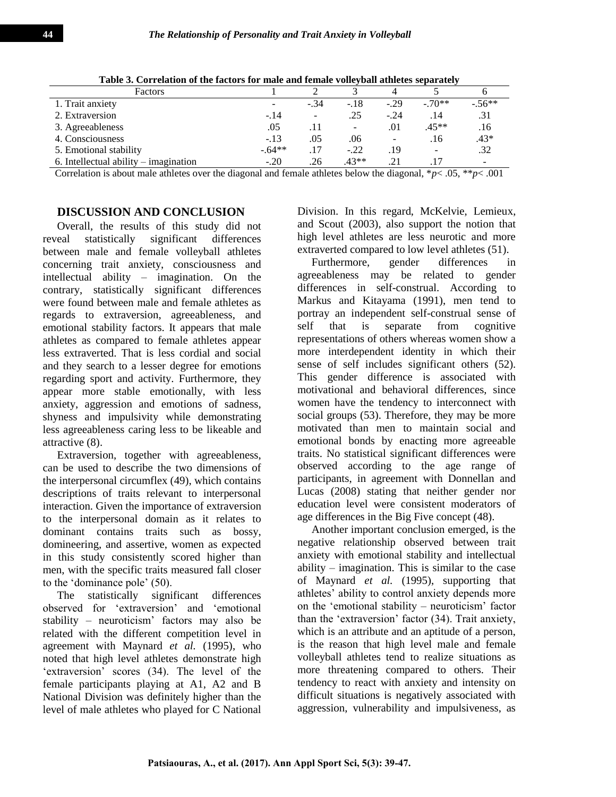| Tuble of Collemnon of the incredibled mule unit remume fone fruit utmered beput ure |                          |                          |        |                          |         |          |  |
|-------------------------------------------------------------------------------------|--------------------------|--------------------------|--------|--------------------------|---------|----------|--|
| Factors                                                                             |                          |                          |        |                          |         |          |  |
| 1. Trait anxiety                                                                    | $\overline{\phantom{a}}$ | $-.34$                   | $-.18$ | $-.29$                   | $-70**$ | $-.56**$ |  |
| 2. Extraversion                                                                     | $-.14$                   | $\overline{\phantom{0}}$ | .25    | $-.24$                   | .14     | .31      |  |
| 3. Agreeableness                                                                    | .05                      |                          | -      | .01                      | $.45**$ | .16      |  |
| 4. Consciousness                                                                    | $-.13$                   | .05                      | .06    | $\overline{\phantom{a}}$ | .16     | $.43*$   |  |
| 5. Emotional stability                                                              | $-.64**$                 | .17                      | $-.22$ | .19                      |         | .32      |  |
| 6. Intellectual ability $-$ imagination                                             | $-.20$                   | 26                       | $43**$ | .21                      |         |          |  |

**Table 3. Correlation of the factors for male and female volleyball athletes separately**

Correlation is about male athletes over the diagonal and female athletes below the diagonal, \**p*< .05, \*\**p*< .001

# **DISCUSSION AND CONCLUSION**

Overall, the results of this study did not reveal statistically significant differences between male and female volleyball athletes concerning trait anxiety, consciousness and intellectual ability – imagination. On the contrary, statistically significant differences were found between male and female athletes as regards to extraversion, agreeableness, and emotional stability factors. It appears that male athletes as compared to female athletes appear less extraverted. Τhat is less cordial and social and they search to a lesser degree for emotions regarding sport and activity. Furthermore, they appear more stable emotionally, with less anxiety, aggression and emotions of sadness, shyness and impulsivity while demonstrating less agreeableness caring less to be likeable and attractive (8).

Extraversion, together with agreeableness, can be used to describe the two dimensions of the interpersonal circumflex (49), which contains descriptions of traits relevant to interpersonal interaction. Given the importance of extraversion to the interpersonal domain as it relates to dominant contains traits such as bossy, domineering, and assertive, women as expected in this study consistently scored higher than men, with the specific traits measured fall closer to the 'dominance pole' (50).

The statistically significant differences observed for 'extraversion' and 'emotional stability – neuroticism' factors may also be related with the different competition level in agreement with Maynard *et al.* (1995), who noted that high level athletes demonstrate high 'extraversion' scores (34). The level of the female participants playing at A1, A2 and B National Division was definitely higher than the level of male athletes who played for C National

Division. In this regard, McKelvie, Lemieux, and Scout (2003), also support the notion that high level athletes are less neurotic and more extraverted compared to low level athletes (51).

Furthermore, gender differences in agreeableness may be related to gender differences in self-construal. According to Markus and Kitayama (1991), men tend to portray an independent self-construal sense of self that is separate from cognitive representations of others whereas women show a more interdependent identity in which their sense of self includes significant others (52). This gender difference is associated with motivational and behavioral differences, since women have the tendency to interconnect with social groups (53). Therefore, they may be more motivated than men to maintain social and emotional bonds by enacting more agreeable traits. No statistical significant differences were observed according to the age range of participants, in agreement with Donnellan and Lucas (2008) stating that neither gender nor education level were consistent moderators of age differences in the Big Five concept (48).

Another important conclusion emerged, is the negative relationship observed between trait anxiety with emotional stability and intellectual ability – imagination. This is similar to the case of Maynard *et al.* (1995), supporting that athletes' ability to control anxiety depends more on the 'emotional stability – neuroticism' factor than the 'extraversion' factor (34). Trait anxiety, which is an attribute and an aptitude of a person, is the reason that high level male and female volleyball athletes tend to realize situations as more threatening compared to others. Their tendency to react with anxiety and intensity on difficult situations is negatively associated with aggression, vulnerability and impulsiveness, as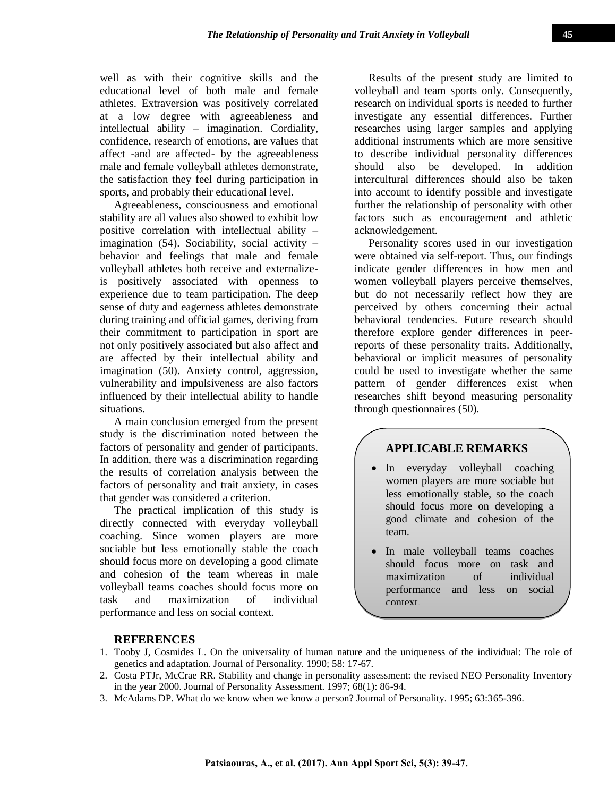well as with their cognitive skills and the educational level of both male and female athletes. Extraversion was positively correlated at a low degree with agreeableness and intellectual ability – imagination. Cordiality, confidence, research of emotions, are values that affect -and are affected- by the agreeableness male and female volleyball athletes demonstrate, the satisfaction they feel during participation in sports, and probably their educational level.

Agreeableness, consciousness and emotional stability are all values also showed to exhibit low positive correlation with intellectual ability – imagination (54). Sociability, social activity – behavior and feelings that male and female volleyball athletes both receive and externalizeis positively associated with openness to experience due to team participation. The deep sense of duty and eagerness athletes demonstrate during training and official games, deriving from their commitment to participation in sport are not only positively associated but also affect and are affected by their intellectual ability and imagination (50). Anxiety control, aggression, vulnerability and impulsiveness are also factors influenced by their intellectual ability to handle situations.

A main conclusion emerged from the present study is the discrimination noted between the factors of personality and gender of participants. In addition, there was a discrimination regarding the results of correlation analysis between the factors of personality and trait anxiety, in cases that gender was considered a criterion.

The practical implication of this study is directly connected with everyday volleyball coaching. Since women players are more sociable but less emotionally stable the coach should focus more on developing a good climate and cohesion of the team whereas in male volleyball teams coaches should focus more on task and maximization of individual performance and less on social context.

Results of the present study are limited to volleyball and team sports only. Consequently, research on individual sports is needed to further investigate any essential differences. Further researches using larger samples and applying additional instruments which are more sensitive to describe individual personality differences should also be developed. In addition intercultural differences should also be taken into account to identify possible and investigate further the relationship of personality with other factors such as encouragement and athletic acknowledgement.

Personality scores used in our investigation were obtained via self-report. Thus, our findings indicate gender differences in how men and women volleyball players perceive themselves, but do not necessarily reflect how they are perceived by others concerning their actual behavioral tendencies. Future research should therefore explore gender differences in peerreports of these personality traits. Additionally, behavioral or implicit measures of personality could be used to investigate whether the same pattern of gender differences exist when researches shift beyond measuring personality through questionnaires (50).

# **APPLICABLE REMARKS**

- In everyday volleyball coaching women players are more sociable but less emotionally stable, so the coach should focus more on developing a good climate and cohesion of the team.
- In male volleyball teams coaches should focus more on task and maximization of individual performance and less on social context.

## **REFERENCES**

- 1. Tooby J, Cosmides L. On the universality of human nature and the uniqueness of the individual: The role of genetics and adaptation. Journal of Personality. 1990; 58: 17-67.
- 2. Costa PTJr, McCrae RR. Stability and change in personality assessment: the revised NEO Personality Inventory in the year 2000. Journal of Personality Assessment. 1997; 68(1): 86-94.
- 3. McAdams DP. What do we know when we know a person? Journal of Personality. 1995; 63:365-396.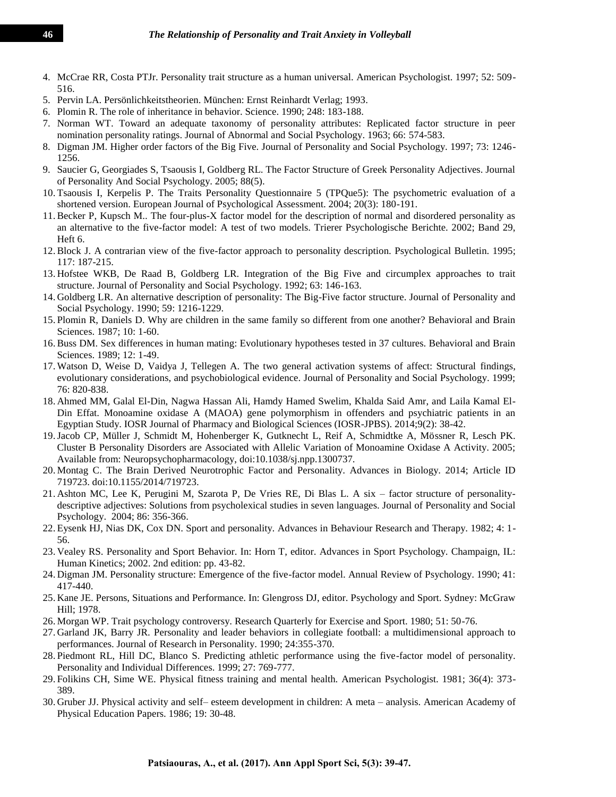- 4. McCrae RR, Costa PTJr. Personality trait structure as a human universal. American Psychologist. 1997; 52: 509- 516.
- 5. Pervin LA. Persönlichkeitstheorien. München: Ernst Reinhardt Verlag; 1993.
- 6. Plomin R. The role of inheritance in behavior. Science. 1990; 248: 183-188.
- 7. Norman WT. Toward an adequate taxonomy of personality attributes: Replicated factor structure in peer nomination personality ratings. Journal of Abnormal and Social Psychology. 1963; 66: 574-583.
- 8. Digman JM. Higher order factors of the Big Five. Journal of Personality and Social Psychology. 1997; 73: 1246- 1256.
- 9. Saucier G, Georgiades S, Tsaousis I, Goldberg RL. The Factor Structure of Greek Personality Adjectives. Journal of Personality And Social Psychology. 2005; 88(5).
- 10. Tsaousis I, Kerpelis P. The Traits Personality Questionnaire 5 (TPQue5): The psychometric evaluation of a shortened version. European Journal of Psychological Assessment. 2004; 20(3): 180-191.
- 11.Becker P, Kupsch M.. The four-plus-X factor model for the description of normal and disordered personality as an alternative to the five-factor model: A test of two models. Trierer Psychologische Berichte. 2002; Band 29, Heft 6.
- 12.Block J. A contrarian view of the five-factor approach to personality description. Psychological Bulletin. 1995; 117: 187-215.
- 13. Hofstee WKB, De Raad B, Goldberg LR. Integration of the Big Five and circumplex approaches to trait structure. Journal of Personality and Social Psychology. 1992; 63: 146-163.
- 14. Goldberg LR. An alternative description of personality: The Big-Five factor structure. Journal of Personality and Social Psychology. 1990; 59: 1216-1229.
- 15. Plomin R, Daniels D. Why are children in the same family so different from one another? Behavioral and Brain Sciences. 1987; 10: 1-60.
- 16.Buss DM. Sex differences in human mating: Evolutionary hypotheses tested in 37 cultures. Behavioral and Brain Sciences. 1989; 12: 1-49.
- 17. Watson D, Weise D, Vaidya J, Tellegen A. The two general activation systems of affect: Structural findings, evolutionary considerations, and psychobiological evidence. Journal of Personality and Social Psychology. 1999; 76: 820-838.
- 18. Ahmed MM, Galal El-Din, Nagwa Hassan Ali, Hamdy Hamed Swelim, Khalda Said Amr, and Laila Kamal El-Din Effat. Monoamine oxidase A (MAOA) gene polymorphism in offenders and psychiatric patients in an Egyptian Study. IOSR Journal of Pharmacy and Biological Sciences (IOSR-JPBS). 2014;9(2): 38-42.
- 19.Jacob CP, Müller J, Schmidt M, Hohenberger K, Gutknecht L, Reif A, Schmidtke A, Mössner R, Lesch PK. Cluster B Personality Disorders are Associated with Allelic Variation of Monoamine Oxidase A Activity. 2005; Available from: Neuropsychopharmacology, doi:10.1038/sj.npp.1300737.
- 20. Montag C. The Brain Derived Neurotrophic Factor and Personality. Advances in Biology. 2014; Article ID 719723. doi:10.1155/2014/719723.
- 21. Ashton MC, Lee K, Perugini M, Szarota P, De Vries RE, Di Blas L. A six factor structure of personalitydescriptive adjectives: Solutions from psycholexical studies in seven languages. Journal of Personality and Social Psychology. 2004; 86: 356-366.
- 22. Eysenk HJ, Nias DK, Cox DN. Sport and personality. Advances in Behaviour Research and Therapy. 1982; 4: 1- 56.
- 23. Vealey RS. Personality and Sport Behavior. In: Horn T, editor. Advances in Sport Psychology. Champaign, IL: Human Kinetics; 2002. 2nd edition: pp. 43-82.
- 24. Digman JM. Personality structure: Emergence of the five-factor model. Annual Review of Psychology. 1990; 41: 417-440.
- 25. Kane JE. Persons, Situations and Performance. In: Glengross DJ, editor. Psychology and Sport. Sydney: McGraw Hill; 1978.
- 26. Morgan WP. Trait psychology controversy. Research Quarterly for Exercise and Sport. 1980; 51: 50-76.
- 27. Garland JK, Barry JR. Personality and leader behaviors in collegiate football: a multidimensional approach to performances. Journal of Research in Personality. 1990; 24:355-370.
- 28. Piedmont RL, Hill DC, Blanco S. Predicting athletic performance using the five-factor model of personality. Personality and Individual Differences. 1999; 27: 769-777.
- 29. Folikins CH, Sime WE. Physical fitness training and mental health. American Psychologist. 1981; 36(4): 373- 389.
- 30. Gruber JJ. Physical activity and self– esteem development in children: A meta analysis. American Academy of Physical Education Papers. 1986; 19: 30-48.